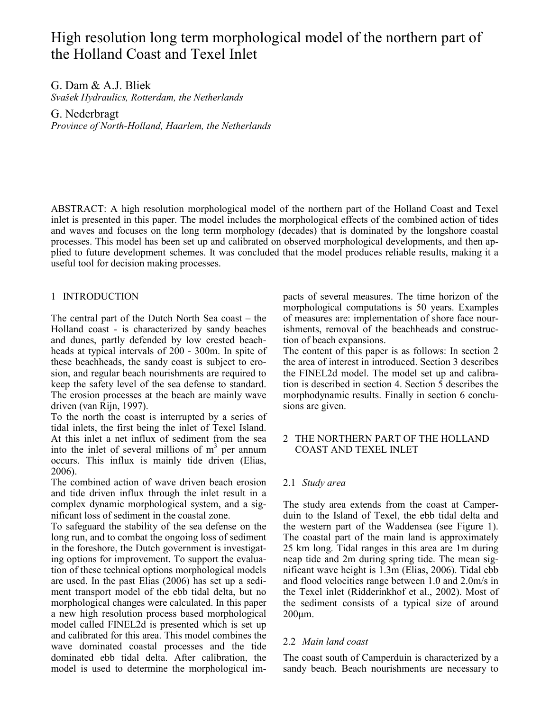# High resolution long term morphological model of the northern part of the Holland Coast and Texel Inlet

G. Dam & A.J. Bliek

*Svašek Hydraulics, Rotterdam, the Netherlands* 

G. Nederbragt *Province of North-Holland, Haarlem, the Netherlands*

ABSTRACT: A high resolution morphological model of the northern part of the Holland Coast and Texel inlet is presented in this paper. The model includes the morphological effects of the combined action of tides and waves and focuses on the long term morphology (decades) that is dominated by the longshore coastal processes. This model has been set up and calibrated on observed morphological developments, and then applied to future development schemes. It was concluded that the model produces reliable results, making it a useful tool for decision making processes.

# 1 INTRODUCTION

The central part of the Dutch North Sea coast – the Holland coast - is characterized by sandy beaches and dunes, partly defended by low crested beachheads at typical intervals of 200 - 300m. In spite of these beachheads, the sandy coast is subject to erosion, and regular beach nourishments are required to keep the safety level of the sea defense to standard. The erosion processes at the beach are mainly wave driven (van Rijn, 1997).

To the north the coast is interrupted by a series of tidal inlets, the first being the inlet of Texel Island. At this inlet a net influx of sediment from the sea into the inlet of several millions of  $m<sup>3</sup>$  per annum occurs. This influx is mainly tide driven (Elias, 2006).

The combined action of wave driven beach erosion and tide driven influx through the inlet result in a complex dynamic morphological system, and a significant loss of sediment in the coastal zone.

To safeguard the stability of the sea defense on the long run, and to combat the ongoing loss of sediment in the foreshore, the Dutch government is investigating options for improvement. To support the evaluation of these technical options morphological models are used. In the past Elias (2006) has set up a sediment transport model of the ebb tidal delta, but no morphological changes were calculated. In this paper a new high resolution process based morphological model called FINEL2d is presented which is set up and calibrated for this area. This model combines the wave dominated coastal processes and the tide dominated ebb tidal delta. After calibration, the model is used to determine the morphological impacts of several measures. The time horizon of the morphological computations is 50 years. Examples of measures are: implementation of shore face nourishments, removal of the beachheads and construction of beach expansions.

The content of this paper is as follows: In section 2 the area of interest in introduced. Section 3 describes the FINEL2d model. The model set up and calibration is described in section 4. Section 5 describes the morphodynamic results. Finally in section 6 conclusions are given.

## 2 THE NORTHERN PART OF THE HOLLAND COAST AND TEXEL INLET

# 2.1 *Study area*

The study area extends from the coast at Camperduin to the Island of Texel, the ebb tidal delta and the western part of the Waddensea (see Figure 1). The coastal part of the main land is approximately 25 km long. Tidal ranges in this area are 1m during neap tide and 2m during spring tide. The mean significant wave height is 1.3m (Elias, 2006). Tidal ebb and flood velocities range between 1.0 and 2.0m/s in the Texel inlet (Ridderinkhof et al., 2002). Most of the sediment consists of a typical size of around 200µm.

## 2.2 *Main land coast*

The coast south of Camperduin is characterized by a sandy beach. Beach nourishments are necessary to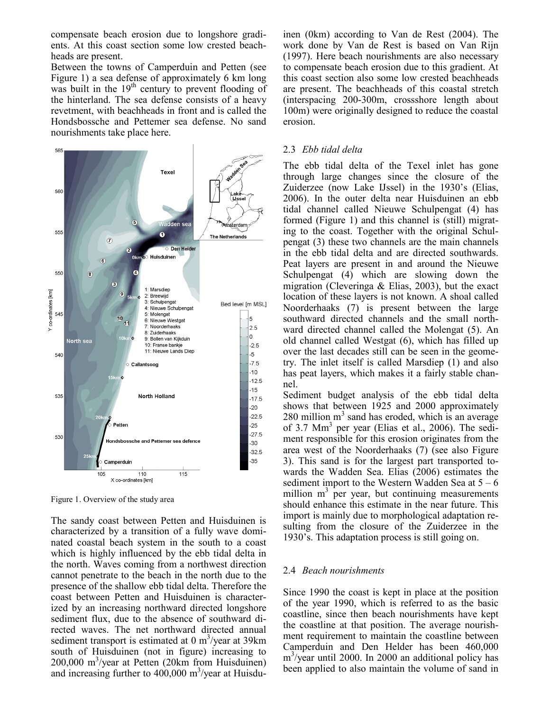compensate beach erosion due to longshore gradients. At this coast section some low crested beachheads are present.

Between the towns of Camperduin and Petten (see Figure 1) a sea defense of approximately 6 km long was built in the  $19<sup>th</sup>$  century to prevent flooding of the hinterland. The sea defense consists of a heavy revetment, with beachheads in front and is called the Hondsbossche and Pettemer sea defense. No sand nourishments take place here.



Figure 1. Overview of the study area

The sandy coast between Petten and Huisduinen is characterized by a transition of a fully wave dominated coastal beach system in the south to a coast which is highly influenced by the ebb tidal delta in the north. Waves coming from a northwest direction cannot penetrate to the beach in the north due to the presence of the shallow ebb tidal delta. Therefore the coast between Petten and Huisduinen is characterized by an increasing northward directed longshore sediment flux, due to the absence of southward directed waves. The net northward directed annual sediment transport is estimated at  $0 \text{ m}^3$ /year at 39km south of Huisduinen (not in figure) increasing to 200,000 m<sup>3</sup> /year at Petten (20km from Huisduinen) and increasing further to  $400,000$  m<sup>3</sup>/year at Huisduinen (0km) according to Van de Rest (2004). The work done by Van de Rest is based on Van Rijn (1997). Here beach nourishments are also necessary to compensate beach erosion due to this gradient. At this coast section also some low crested beachheads are present. The beachheads of this coastal stretch (interspacing 200-300m, crossshore length about 100m) were originally designed to reduce the coastal erosion.

## 2.3 *Ebb tidal delta*

The ebb tidal delta of the Texel inlet has gone through large changes since the closure of the Zuiderzee (now Lake IJssel) in the 1930's (Elias, 2006). In the outer delta near Huisduinen an ebb tidal channel called Nieuwe Schulpengat (4) has formed (Figure 1) and this channel is (still) migrating to the coast. Together with the original Schulpengat (3) these two channels are the main channels in the ebb tidal delta and are directed southwards. Peat layers are present in and around the Nieuwe Schulpengat (4) which are slowing down the migration (Cleveringa & Elias, 2003), but the exact location of these layers is not known. A shoal called Noorderhaaks (7) is present between the large southward directed channels and the small northward directed channel called the Molengat (5). An old channel called Westgat (6), which has filled up over the last decades still can be seen in the geometry. The inlet itself is called Marsdiep (1) and also has peat layers, which makes it a fairly stable channel.

Sediment budget analysis of the ebb tidal delta shows that between 1925 and 2000 approximately 280 million  $m<sup>3</sup>$  sand has eroded, which is an average of 3.7 Mm<sup>3</sup> per year (Elias et al., 2006). The sediment responsible for this erosion originates from the area west of the Noorderhaaks (7) (see also Figure 3). This sand is for the largest part transported towards the Wadden Sea. Elias (2006) estimates the sediment import to the Western Wadden Sea at  $5 - 6$ million  $m^3$  per year, but continuing measurements should enhance this estimate in the near future. This import is mainly due to morphological adaptation resulting from the closure of the Zuiderzee in the 1930's. This adaptation process is still going on.

## 2.4 *Beach nourishments*

Since 1990 the coast is kept in place at the position of the year 1990, which is referred to as the basic coastline, since then beach nourishments have kept the coastline at that position. The average nourishment requirement to maintain the coastline between Camperduin and Den Helder has been 460,000 m<sup>3</sup>/year until 2000. In 2000 an additional policy has been applied to also maintain the volume of sand in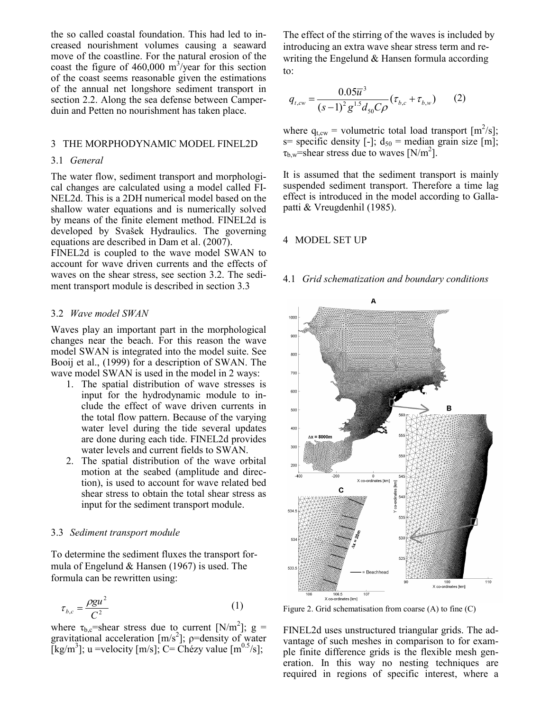the so called coastal foundation. This had led to increased nourishment volumes causing a seaward move of the coastline. For the natural erosion of the coast the figure of  $460,000 \text{ m}^3$ /year for this section of the coast seems reasonable given the estimations of the annual net longshore sediment transport in section 2.2. Along the sea defense between Camperduin and Petten no nourishment has taken place.

#### 3 THE MORPHODYNAMIC MODEL FINEL2D

#### 3.1 *General*

The water flow, sediment transport and morphological changes are calculated using a model called FI-NEL2d. This is a 2DH numerical model based on the shallow water equations and is numerically solved by means of the finite element method. FINEL2d is developed by Svašek Hydraulics. The governing equations are described in Dam et al. (2007).

FINEL2d is coupled to the wave model SWAN to account for wave driven currents and the effects of waves on the shear stress, see section 3.2. The sediment transport module is described in section 3.3

#### 3.2 *Wave model SWAN*

Waves play an important part in the morphological changes near the beach. For this reason the wave model SWAN is integrated into the model suite. See Booij et al., (1999) for a description of SWAN. The wave model SWAN is used in the model in 2 ways:

- 1. The spatial distribution of wave stresses is input for the hydrodynamic module to include the effect of wave driven currents in the total flow pattern. Because of the varying water level during the tide several updates are done during each tide. FINEL2d provides water levels and current fields to SWAN.
- 2. The spatial distribution of the wave orbital motion at the seabed (amplitude and direction), is used to account for wave related bed shear stress to obtain the total shear stress as input for the sediment transport module.

#### 3.3 *Sediment transport module*

To determine the sediment fluxes the transport formula of Engelund & Hansen (1967) is used. The formula can be rewritten using:

$$
\tau_{b,c} = \frac{\rho g u^2}{C^2} \tag{1}
$$

where  $\tau_{b,c}$ =shear stress due to current [N/m<sup>2</sup>]; g = gravitational acceleration  $[m/s^2]$ ;  $\rho$ =density of water [kg/m<sup>3</sup>]; u =velocity [m/s]; C= Chézy value [m<sup>0.5</sup>/s];

The effect of the stirring of the waves is included by introducing an extra wave shear stress term and rewriting the Engelund  $&$  Hansen formula according to:

$$
q_{t,cw} = \frac{0.05\overline{u}^3}{(s-1)^2 g^{1.5} d_{50} C \rho} (\tau_{b,c} + \tau_{b,w})
$$
 (2)

where  $q_{t, cw}$  = volumetric total load transport  $[m^2/s]$ ; s= specific density [-];  $d_{50}$  = median grain size [m];  $\tau_{b,w}$ =shear stress due to waves [N/m<sup>2</sup>].

It is assumed that the sediment transport is mainly suspended sediment transport. Therefore a time lag effect is introduced in the model according to Gallapatti & Vreugdenhil (1985).

#### 4 MODEL SET UP

#### 4.1 *Grid schematization and boundary conditions*



Figure 2. Grid schematisation from coarse (A) to fine (C)

FINEL2d uses unstructured triangular grids. The advantage of such meshes in comparison to for example finite difference grids is the flexible mesh generation. In this way no nesting techniques are required in regions of specific interest, where a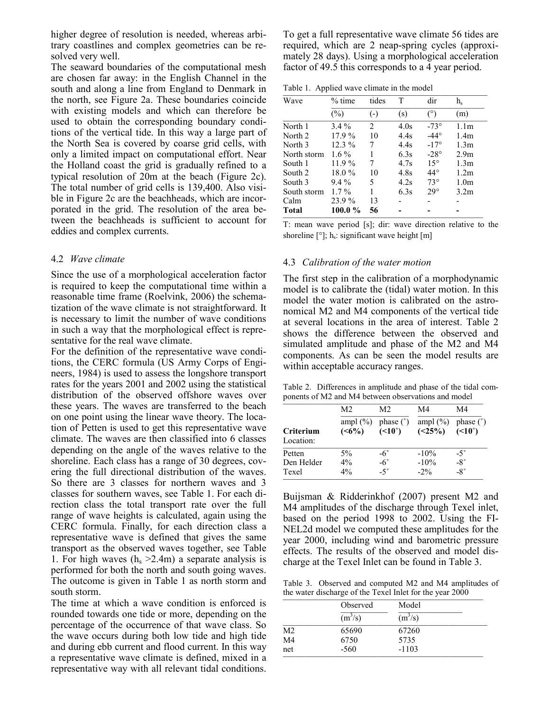higher degree of resolution is needed, whereas arbitrary coastlines and complex geometries can be resolved very well.

The seaward boundaries of the computational mesh are chosen far away: in the English Channel in the south and along a line from England to Denmark in the north, see Figure 2a. These boundaries coincide with existing models and which can therefore be used to obtain the corresponding boundary conditions of the vertical tide. In this way a large part of the North Sea is covered by coarse grid cells, with only a limited impact on computational effort. Near the Holland coast the grid is gradually refined to a typical resolution of 20m at the beach (Figure 2c). The total number of grid cells is 139,400. Also visible in Figure 2c are the beachheads, which are incorporated in the grid. The resolution of the area between the beachheads is sufficient to account for eddies and complex currents.

#### 4.2 *Wave climate*

Since the use of a morphological acceleration factor is required to keep the computational time within a reasonable time frame (Roelvink, 2006) the schematization of the wave climate is not straightforward. It is necessary to limit the number of wave conditions in such a way that the morphological effect is representative for the real wave climate.

For the definition of the representative wave conditions, the CERC formula (US Army Corps of Engineers, 1984) is used to assess the longshore transport rates for the years 2001 and 2002 using the statistical distribution of the observed offshore waves over these years. The waves are transferred to the beach on one point using the linear wave theory. The location of Petten is used to get this representative wave climate. The waves are then classified into 6 classes depending on the angle of the waves relative to the shoreline. Each class has a range of 30 degrees, covering the full directional distribution of the waves. So there are 3 classes for northern waves and 3 classes for southern waves, see Table 1. For each direction class the total transport rate over the full range of wave heights is calculated, again using the CERC formula. Finally, for each direction class a representative wave is defined that gives the same transport as the observed waves together, see Table 1. For high waves  $(h_s > 2.4m)$  a separate analysis is performed for both the north and south going waves. The outcome is given in Table 1 as north storm and south storm.

The time at which a wave condition is enforced is rounded towards one tide or more, depending on the percentage of the occurrence of that wave class. So the wave occurs during both low tide and high tide and during ebb current and flood current. In this way a representative wave climate is defined, mixed in a representative way with all relevant tidal conditions.

To get a full representative wave climate 56 tides are required, which are 2 neap-spring cycles (approximately 28 days). Using a morphological acceleration factor of 49.5 this corresponds to a 4 year period.

Table 1. Applied wave climate in the model

| Wave         | $%$ time | tides | T    | dir          | $h_{s}$          |
|--------------|----------|-------|------|--------------|------------------|
|              | $(\%)$   | $(-)$ | (s)  | $(^\circ)$   | (m)              |
| North 1      | $3.4\%$  | 2     | 4.0s | $-73^\circ$  | 1.1 <sub>m</sub> |
| North 2      | $17.9\%$ | 10    | 4.4s | $-44^\circ$  | 1.4 <sub>m</sub> |
| North 3      | $12.3\%$ | 7     | 4.4s | $-17^\circ$  | 1.3 <sub>m</sub> |
| North storm  | $1.6\%$  | 1     | 6.3s | $-28^\circ$  | 2.9 <sub>m</sub> |
| South 1      | $11.9\%$ | 7     | 4.7s | $15^{\circ}$ | 1.3 <sub>m</sub> |
| South 2      | 18.0%    | 10    | 4.8s | $44^{\circ}$ | 1.2 <sub>m</sub> |
| South 3      | $9.4\%$  | 5     | 4.2s | $73^{\circ}$ | 1.0 <sub>m</sub> |
| South storm  | $1.7\%$  | 1     | 6.3s | $29^\circ$   | 3.2 <sub>m</sub> |
| Calm         | 23.9%    | 13    |      |              |                  |
| <b>Total</b> | 100.0%   | 56    |      |              |                  |

T: mean wave period [s]; dir: wave direction relative to the shoreline  $[°]$ ;  $h_s$ : significant wave height  $[m]$ 

#### 4.3 *Calibration of the water motion*

The first step in the calibration of a morphodynamic model is to calibrate the (tidal) water motion. In this model the water motion is calibrated on the astronomical M2 and M4 components of the vertical tide at several locations in the area of interest. Table 2 shows the difference between the observed and simulated amplitude and phase of the M2 and M4 components. As can be seen the model results are within acceptable accuracy ranges.

Table 2. Differences in amplitude and phase of the tidal components of M2 and M4 between observations and model

|                               | M <sub>2</sub>          | M2                           | M4                        | M4<br>phase $(°)$<br>$(510^\circ)$ |
|-------------------------------|-------------------------|------------------------------|---------------------------|------------------------------------|
| <b>Criterium</b><br>Location: | ampl $(\%)$<br>$(50\%)$ | phase $(°)$<br>$(510^\circ)$ | ampl $(\% )$<br>$(<25\%)$ |                                    |
| Petten                        | $5\%$                   | $-6^{\circ}$                 | $-10\%$                   | $-5^{\circ}$                       |
| Den Helder                    | $4\%$                   | $-6^\circ$                   | $-10%$                    | $-8^\circ$                         |
| Texel                         | $4\%$                   | $-5^\circ$                   | $-2\%$                    | $-8^\circ$                         |

Buijsman & Ridderinkhof (2007) present M2 and M4 amplitudes of the discharge through Texel inlet, based on the period 1998 to 2002. Using the FI-NEL2d model we computed these amplitudes for the year 2000, including wind and barometric pressure effects. The results of the observed and model discharge at the Texel Inlet can be found in Table 3.

Table 3. Observed and computed M2 and M4 amplitudes of the water discharge of the Texel Inlet for the year 2000

|                | Observed  | Model               |  |
|----------------|-----------|---------------------|--|
|                | $(m^3/s)$ | (m <sup>3</sup> /s) |  |
| M <sub>2</sub> | 65690     | 67260               |  |
| M <sub>4</sub> | 6750      | 5735                |  |
| net            | $-560$    | $-1103$             |  |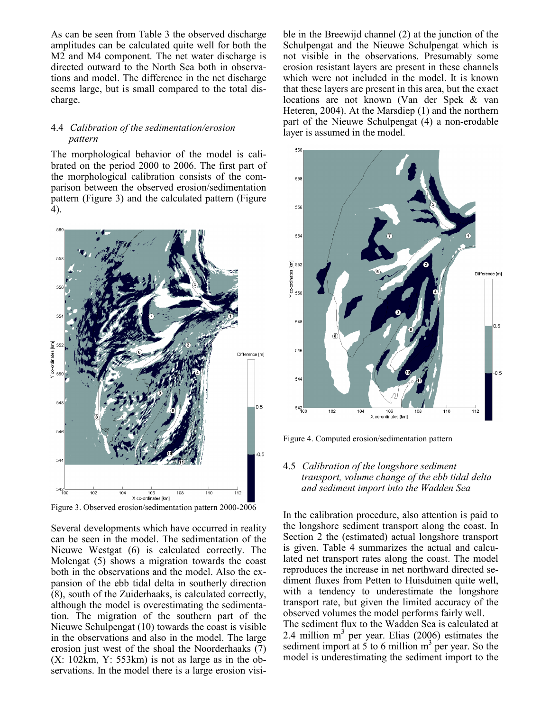As can be seen from Table 3 the observed discharge amplitudes can be calculated quite well for both the M2 and M4 component. The net water discharge is directed outward to the North Sea both in observations and model. The difference in the net discharge seems large, but is small compared to the total discharge.

## 4.4 *Calibration of the sedimentation/erosion pattern*

The morphological behavior of the model is calibrated on the period 2000 to 2006. The first part of the morphological calibration consists of the comparison between the observed erosion/sedimentation pattern (Figure 3) and the calculated pattern (Figure 4).



Figure 3. Observed erosion/sedimentation pattern 2000-2006

Several developments which have occurred in reality can be seen in the model. The sedimentation of the Nieuwe Westgat (6) is calculated correctly. The Molengat (5) shows a migration towards the coast both in the observations and the model. Also the expansion of the ebb tidal delta in southerly direction (8), south of the Zuiderhaaks, is calculated correctly, although the model is overestimating the sedimentation. The migration of the southern part of the Nieuwe Schulpengat (10) towards the coast is visible in the observations and also in the model. The large erosion just west of the shoal the Noorderhaaks (7) (X: 102km, Y: 553km) is not as large as in the observations. In the model there is a large erosion visible in the Breewijd channel (2) at the junction of the Schulpengat and the Nieuwe Schulpengat which is not visible in the observations. Presumably some erosion resistant layers are present in these channels which were not included in the model. It is known that these layers are present in this area, but the exact locations are not known (Van der Spek & van Heteren, 2004). At the Marsdiep (1) and the northern part of the Nieuwe Schulpengat (4) a non-erodable layer is assumed in the model.



Figure 4. Computed erosion/sedimentation pattern

### 4.5 *Calibration of the longshore sediment transport, volume change of the ebb tidal delta and sediment import into the Wadden Sea*

In the calibration procedure, also attention is paid to the longshore sediment transport along the coast. In Section 2 the (estimated) actual longshore transport is given. Table 4 summarizes the actual and calculated net transport rates along the coast. The model reproduces the increase in net northward directed sediment fluxes from Petten to Huisduinen quite well, with a tendency to underestimate the longshore transport rate, but given the limited accuracy of the observed volumes the model performs fairly well.

The sediment flux to the Wadden Sea is calculated at 2.4 million  $m<sup>3</sup>$  per year. Elias (2006) estimates the sediment import at 5 to 6 million  $m^3$  per year. So the model is underestimating the sediment import to the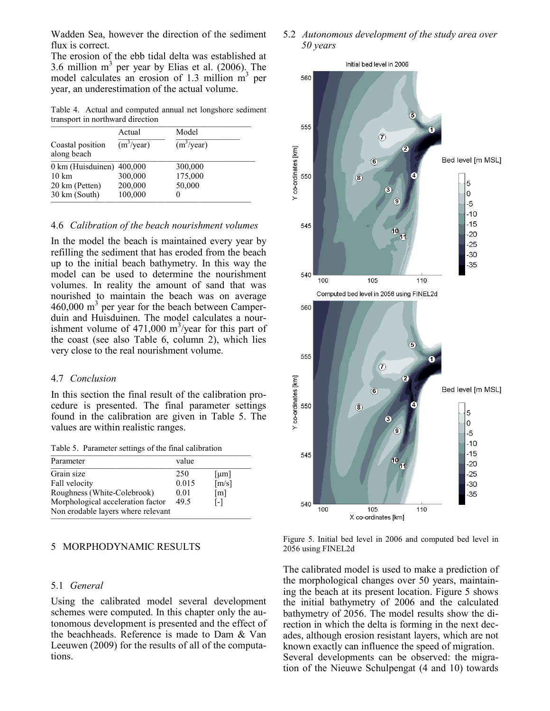Wadden Sea, however the direction of the sediment flux is correct.

The erosion of the ebb tidal delta was established at 3.6 million  $m<sup>3</sup>$  per year by Elias et al. (2006). The model calculates an erosion of 1.3 million  $m<sup>3</sup>$  per year, an underestimation of the actual volume.

Table 4. Actual and computed annual net longshore sediment transport in northward direction

|                                       | Actual                 | Model                  |  |
|---------------------------------------|------------------------|------------------------|--|
| Coastal position<br>along beach       | (m <sup>3</sup> /year) | (m <sup>3</sup> /year) |  |
| $0 \text{ km}$ (Huisduinen) $400,000$ |                        | 300,000                |  |
| $10 \text{ km}$                       | 300,000                | 175,000                |  |
| 20 km (Petten)                        | 200,000                | 50,000                 |  |
| 30 km (South)                         | 100,000                | $\theta$               |  |

#### 4.6 *Calibration of the beach nourishment volumes*

In the model the beach is maintained every year by refilling the sediment that has eroded from the beach up to the initial beach bathymetry. In this way the model can be used to determine the nourishment volumes. In reality the amount of sand that was nourished to maintain the beach was on average  $460,000$  m<sup>3</sup> per year for the beach between Camperduin and Huisduinen. The model calculates a nourishment volume of  $471,000$  m<sup>3</sup>/year for this part of the coast (see also Table 6, column 2), which lies very close to the real nourishment volume.

#### 4.7 *Conclusion*

In this section the final result of the calibration procedure is presented. The final parameter settings found in the calibration are given in Table 5. The values are within realistic ranges.

Table 5. Parameter settings of the final calibration

| Parameter                          | value |                     |
|------------------------------------|-------|---------------------|
| Grain size                         | 250   | [ $\mu$ m]          |
| Fall velocity                      | 0.015 | $\lceil m/s \rceil$ |
| Roughness (White-Colebrook)        | 0.01  | $\lceil m \rceil$   |
| Morphological acceleration factor  | 49.5  | L-1                 |
| Non erodable layers where relevant |       |                     |

#### 5 MORPHODYNAMIC RESULTS

#### 5.1 *General*

Using the calibrated model several development schemes were computed. In this chapter only the autonomous development is presented and the effect of the beachheads. Reference is made to Dam & Van Leeuwen (2009) for the results of all of the computations.

5.2 *Autonomous development of the study area over 50 years* 



Figure 5. Initial bed level in 2006 and computed bed level in 2056 using FINEL2d

The calibrated model is used to make a prediction of the morphological changes over 50 years, maintaining the beach at its present location. Figure 5 shows the initial bathymetry of 2006 and the calculated bathymetry of 2056. The model results show the direction in which the delta is forming in the next decades, although erosion resistant layers, which are not known exactly can influence the speed of migration. Several developments can be observed: the migration of the Nieuwe Schulpengat (4 and 10) towards